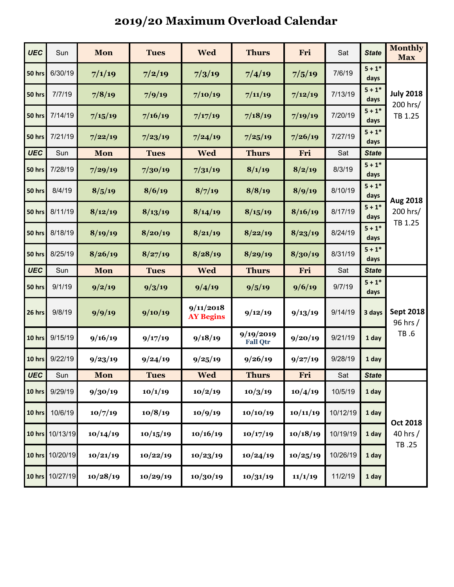## **2019/20 Maximum Overload Calendar**

| <b>UEC</b>    | Sun      | Mon      | <b>Tues</b> | <b>Wed</b>                    | <b>Thurs</b>                 | Fri      | Sat      | <b>State</b>     | <b>Monthly</b><br><b>Max</b>            |  |
|---------------|----------|----------|-------------|-------------------------------|------------------------------|----------|----------|------------------|-----------------------------------------|--|
| 50 hrs        | 6/30/19  | 7/1/19   | 7/2/19      | 7/3/19                        | 7/4/19                       | 7/5/19   | 7/6/19   | $5 + 1*$<br>days | <b>July 2018</b><br>200 hrs/<br>TB 1.25 |  |
| 50 hrs        | 7/7/19   | 7/8/19   | 7/9/19      | 7/10/19                       | 7/11/19                      | 7/12/19  | 7/13/19  | $5 + 1*$<br>days |                                         |  |
| <b>50 hrs</b> | 7/14/19  | 7/15/19  | 7/16/19     | 7/17/19                       | 7/18/19                      | 7/19/19  | 7/20/19  | $5 + 1*$<br>days |                                         |  |
| 50 hrs        | 7/21/19  | 7/22/19  | 7/23/19     | 7/24/19                       | 7/25/19                      | 7/26/19  | 7/27/19  | $5 + 1*$<br>days |                                         |  |
| <b>UEC</b>    | Sun      | Mon      | <b>Tues</b> | <b>Wed</b>                    | <b>Thurs</b>                 | Fri      | Sat      | <b>State</b>     |                                         |  |
| 50 hrs        | 7/28/19  | 7/29/19  | 7/30/19     | 7/31/19                       | 8/1/19                       | 8/2/19   | 8/3/19   | $5 + 1*$<br>days | Aug 2018<br>200 hrs/<br>TB 1.25         |  |
| 50 hrs        | 8/4/19   | 8/5/19   | 8/6/19      | 8/7/19                        | 8/8/19                       | 8/9/19   | 8/10/19  | $5 + 1*$<br>days |                                         |  |
| 50 hrs        | 8/11/19  | 8/12/19  | 8/13/19     | 8/14/19                       | 8/15/19                      | 8/16/19  | 8/17/19  | $5 + 1*$<br>days |                                         |  |
| 50 hrs        | 8/18/19  | 8/19/19  | 8/20/19     | 8/21/19                       | 8/22/19                      | 8/23/19  | 8/24/19  | $5 + 1*$<br>days |                                         |  |
| 50 hrs        | 8/25/19  | 8/26/19  | 8/27/19     | 8/28/19                       | 8/29/19                      | 8/30/19  | 8/31/19  | $5 + 1*$<br>days |                                         |  |
| <b>UEC</b>    | Sun      | Mon      | <b>Tues</b> | <b>Wed</b>                    | <b>Thurs</b>                 | Fri      | Sat      | <b>State</b>     |                                         |  |
|               |          |          |             |                               |                              |          |          |                  |                                         |  |
| 50 hrs        | 9/1/19   | 9/2/19   | 9/3/19      | 9/4/19                        | 9/5/19                       | 9/6/19   | 9/7/19   | $5 + 1*$<br>days |                                         |  |
| 26 hrs        | 9/8/19   | 9/9/19   | 9/10/19     | 9/11/2018<br><b>AY Begins</b> | 9/12/19                      | 9/13/19  | 9/14/19  | 3 days           | <b>Sept 2018</b><br>96 hrs /            |  |
| 10 hrs        | 9/15/19  | 9/16/19  | 9/17/19     | 9/18/19                       | 9/19/2019<br><b>Fall Qtr</b> | 9/20/19  | 9/21/19  | 1 day            | TB .6                                   |  |
| 10 hrs        | 9/22/19  | 9/23/19  | 9/24/19     | 9/25/19                       | 9/26/19                      | 9/27/19  | 9/28/19  | 1 day            |                                         |  |
| UEC           | Sun      | Mon      | Tues        | wed                           | <b>Thurs</b>                 | Fri      | Sat      | <b>State</b>     |                                         |  |
| 10 hrs        | 9/29/19  | 9/30/19  | 10/1/19     | 10/2/19                       | 10/3/19                      | 10/4/19  | 10/5/19  | 1 day            |                                         |  |
| 10 hrs        | 10/6/19  | 10/7/19  | 10/8/19     | 10/9/19                       | 10/10/19                     | 10/11/19 | 10/12/19 | 1 day            |                                         |  |
| 10 hrs        | 10/13/19 | 10/14/19 | 10/15/19    | 10/16/19                      | 10/17/19                     | 10/18/19 | 10/19/19 | 1 day            | <b>Oct 2018</b><br>40 hrs /             |  |
| 10 hrs        | 10/20/19 | 10/21/19 | 10/22/19    | 10/23/19                      | 10/24/19                     | 10/25/19 | 10/26/19 | 1 day            | TB .25                                  |  |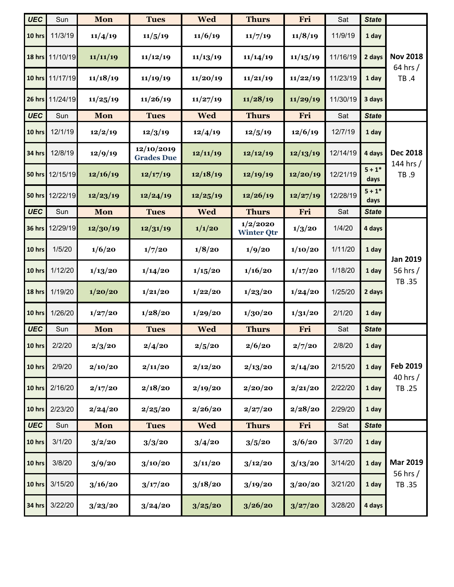| <b>UEC</b>    | Sun             | Mon        | <b>Tues</b>                     | <b>Wed</b> | <b>Thurs</b>                  | Fri      | Sat      | <b>State</b>     |                              |  |
|---------------|-----------------|------------|---------------------------------|------------|-------------------------------|----------|----------|------------------|------------------------------|--|
| 10 hrs        | 11/3/19         | 11/4/19    | 11/5/19                         | 11/6/19    | 11/7/19                       | 11/8/19  | 11/9/19  | 1 day            |                              |  |
| 18 hrs        | 11/10/19        | 11/11/19   | 11/12/19                        | 11/13/19   | 11/14/19                      | 11/15/19 | 11/16/19 | 2 days           | <b>Nov 2018</b><br>64 hrs /  |  |
| 10 hrs        | 11/17/19        | 11/18/19   | 11/19/19                        | 11/20/19   | 11/21/19                      | 11/22/19 | 11/23/19 | 1 day            | TB .4                        |  |
|               | 26 hrs 11/24/19 | 11/25/19   | 11/26/19                        | 11/27/19   | 11/28/19                      | 11/29/19 | 11/30/19 | 3 days           |                              |  |
| <b>UEC</b>    | Sun             | Mon        | <b>Tues</b>                     | <b>Wed</b> | <b>Thurs</b>                  | Fri      | Sat      | <b>State</b>     |                              |  |
| 10 hrs        | 12/1/19         | 12/2/19    | 12/3/19                         | 12/4/19    | 12/5/19                       | 12/6/19  | 12/7/19  | 1 day            |                              |  |
| 34 hrs        | 12/8/19         | 12/9/19    | 12/10/2019<br><b>Grades Due</b> | 12/11/19   | 12/12/19                      | 12/13/19 | 12/14/19 | 4 days           | <b>Dec 2018</b><br>144 hrs / |  |
|               | 50 hrs 12/15/19 | 12/16/19   | 12/17/19                        | 12/18/19   | 12/19/19                      | 12/20/19 | 12/21/19 | $5 + 1*$<br>days | TB .9                        |  |
| <b>50 hrs</b> | 12/22/19        | 12/23/19   | 12/24/19                        | 12/25/19   | 12/26/19                      | 12/27/19 | 12/28/19 | $5 + 1*$<br>days |                              |  |
| <b>UEC</b>    | Sun             | Mon        | <b>Tues</b>                     | <b>Wed</b> | <b>Thurs</b>                  | Fri      | Sat      | <b>State</b>     |                              |  |
| <b>36 hrs</b> | 12/29/19        | 12/30/19   | 12/31/19                        | 1/1/20     | 1/2/2020<br><b>Winter Qtr</b> | 1/3/20   | 1/4/20   | 4 days           |                              |  |
| 10 hrs        | 1/5/20          | 1/6/20     | 1/7/20                          | 1/8/20     | 1/9/20                        | 1/10/20  | 1/11/20  | 1 day            | <b>Jan 2019</b>              |  |
| 10 hrs        | 1/12/20         | 1/13/20    | 1/14/20                         | 1/15/20    | 1/16/20                       | 1/17/20  | 1/18/20  | 1 day            | 56 hrs /<br>TB .35           |  |
| 18 hrs        | 1/19/20         | 1/20/20    | 1/21/20                         | 1/22/20    | 1/23/20                       | 1/24/20  | 1/25/20  | 2 days           |                              |  |
| 10 hrs        | 1/26/20         | 1/27/20    | 1/28/20                         | 1/29/20    | 1/30/20                       | 1/31/20  | 2/1/20   | 1 day            |                              |  |
| <b>UEC</b>    | Sun             | Mon        | <b>Tues</b>                     | <b>Wed</b> | <b>Thurs</b>                  | Fri      | Sat      | <b>State</b>     |                              |  |
| 10 hrs        | 2/2/20          | 2/3/20     | 2/4/20                          | 2/5/20     | 2/6/20                        | 2/7/20   | 2/8/20   | 1 day            |                              |  |
| 10 hrs        | 2/9/20          | 2/10/20    | 2/11/20                         | 2/12/20    | 2/13/20                       | 2/14/20  | 2/15/20  | 1 day            | Feb 2019                     |  |
| 10 hrs        | 2/16/20         | 2/17/20    | 2/18/20                         | 2/19/20    | 2/20/20                       | 2/21/20  | 2/22/20  | 1 day            | 40 hrs /<br>TB .25           |  |
| 10 hrs        | 2/23/20         | 2/24/20    | 2/25/20                         | 2/26/20    | 2/27/20                       | 2/28/20  | 2/29/20  | 1 day            |                              |  |
| <b>UEC</b>    | Sun             | <b>Mon</b> | <b>Tues</b>                     | <b>Wed</b> | <b>Thurs</b>                  | Fri      | Sat      | <b>State</b>     |                              |  |
| 10 hrs        | 3/1/20          | 3/2/20     | 3/3/20                          | 3/4/20     | 3/5/20                        | 3/6/20   | 3/7/20   | 1 day            |                              |  |
| 10 hrs        | 3/8/20          | 3/9/20     | 3/10/20                         | 3/11/20    | 3/12/20                       | 3/13/20  | 3/14/20  | 1 day            | <b>Mar 2019</b><br>56 hrs /  |  |
| 10 hrs        | 3/15/20         | 3/16/20    | 3/17/20                         | 3/18/20    | 3/19/20                       | 3/20/20  | 3/21/20  | 1 day            | TB .35                       |  |
| <b>34 hrs</b> | 3/22/20         | 3/23/20    | 3/24/20                         | 3/25/20    | 3/26/20                       | 3/27/20  | 3/28/20  | 4 days           |                              |  |